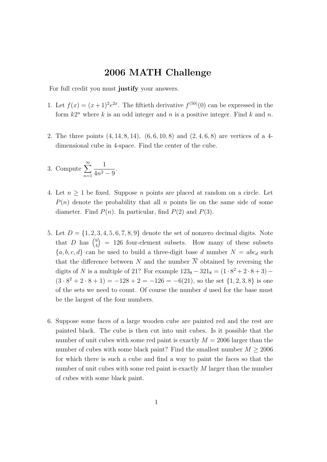## 2006 MATH Challenge

For full credit you must justify your answers.

- 1. Let  $f(x) = (x+1)^2 e^{2x}$ . The fiftieth derivative  $f^{(50)}(0)$  can be expressed in the form  $k2^n$  where k is an odd integer and n is a positive integer. Find k and n.
- 2. The three points (4, 14, 8, 14), (6, 6, 10, 8) and (2, 4, 6, 8) are vertices of a 4 dimensional cube in 4-space. Find the center of the cube.

3. Compute 
$$
\sum_{n=1}^{\infty} \frac{1}{4n^2 - 9}.
$$

- 4. Let  $n \geq 1$  be fixed. Suppose n points are placed at random on a circle. Let  $P(n)$  denote the probability that all n points lie on the same side of some diameter. Find  $P(n)$ . In particular, find  $P(2)$  and  $P(3)$ .
- 5. Let  $D = \{1, 2, 3, 4, 5, 6, 7, 8, 9\}$  denote the set of nonzero decimal digits. Note that D has  $\binom{9}{4}$ 4  $= 126$  four-element subsets. How many of these subsets  ${a, b, c, d}$  can be used to build a three-digit base d number  $N = abc_d$  such that the difference between N and the number  $\overline{N}$  obtained by reversing the digits of N is a multiple of 21? For example  $123_8 - 321_8 = (1 \cdot 8^2 + 2 \cdot 8 + 3) (3 \cdot 8^2 + 2 \cdot 8 + 1) = -128 + 2 = -126 = -6(21)$ , so the set  $\{1, 2, 3, 8\}$  is one of the sets we need to count. Of course the number  $d$  used for the base must be the largest of the four numbers.
- 6. Suppose some faces of a large wooden cube are painted red and the rest are painted black. The cube is then cut into unit cubes. Is it possible that the number of unit cubes with some red paint is exactly  $M = 2006$  larger than the number of cubes with some black paint? Find the smallest number  $M \geq 2006$ for which there is such a cube and find a way to paint the faces so that the number of unit cubes with some red paint is exactly M larger than the number of cubes with some black paint.